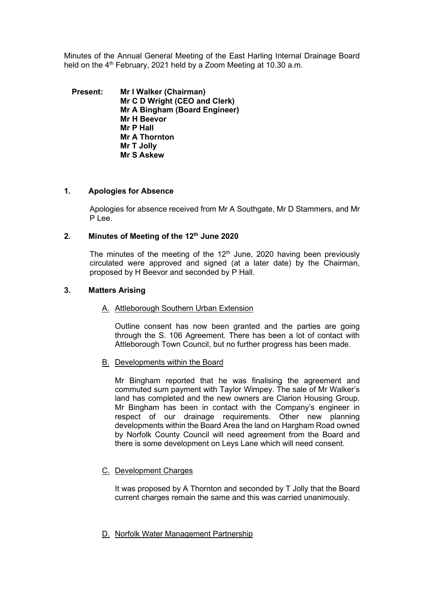Minutes of the Annual General Meeting of the East Harling Internal Drainage Board held on the  $4<sup>th</sup>$  February, 2021 held by a Zoom Meeting at 10.30 a.m.

**Present: Mr I Walker (Chairman) Mr C D Wright (CEO and Clerk) Mr A Bingham (Board Engineer) Mr H Beevor Mr P Hall Mr A Thornton Mr T Jolly Mr S Askew**

### **1. Apologies for Absence**

Apologies for absence received from Mr A Southgate, Mr D Stammers, and Mr P Lee.

## **2. Minutes of Meeting of the 12th June 2020**

The minutes of the meeting of the  $12<sup>th</sup>$  June, 2020 having been previously circulated were approved and signed (at a later date) by the Chairman, proposed by H Beevor and seconded by P Hall.

### **3. Matters Arising**

#### A. Attleborough Southern Urban Extension

Outline consent has now been granted and the parties are going through the S. 106 Agreement. There has been a lot of contact with Attleborough Town Council, but no further progress has been made.

#### B. Developments within the Board

Mr Bingham reported that he was finalising the agreement and commuted sum payment with Taylor Wimpey. The sale of Mr Walker's land has completed and the new owners are Clarion Housing Group. Mr Bingham has been in contact with the Company's engineer in respect of our drainage requirements. Other new planning developments within the Board Area the land on Hargham Road owned by Norfolk County Council will need agreement from the Board and there is some development on Leys Lane which will need consent.

## C. Development Charges

It was proposed by A Thornton and seconded by T Jolly that the Board current charges remain the same and this was carried unanimously.

## D. Norfolk Water Management Partnership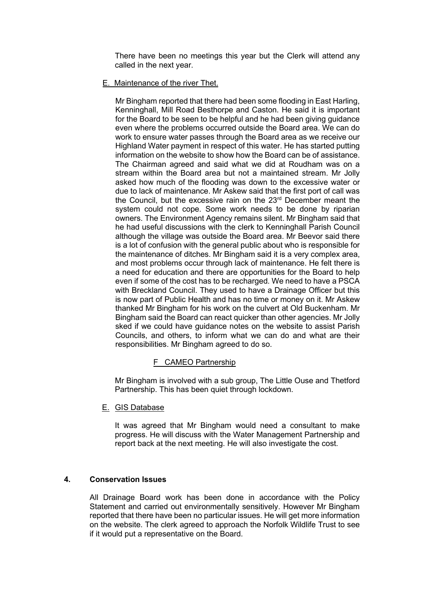There have been no meetings this year but the Clerk will attend any called in the next year.

### E. Maintenance of the river Thet.

Mr Bingham reported that there had been some flooding in East Harling, Kenninghall, Mill Road Besthorpe and Caston. He said it is important for the Board to be seen to be helpful and he had been giving guidance even where the problems occurred outside the Board area. We can do work to ensure water passes through the Board area as we receive our Highland Water payment in respect of this water. He has started putting information on the website to show how the Board can be of assistance. The Chairman agreed and said what we did at Roudham was on a stream within the Board area but not a maintained stream. Mr Jolly asked how much of the flooding was down to the excessive water or due to lack of maintenance. Mr Askew said that the first port of call was the Council, but the excessive rain on the 23<sup>rd</sup> December meant the system could not cope. Some work needs to be done by riparian owners. The Environment Agency remains silent. Mr Bingham said that he had useful discussions with the clerk to Kenninghall Parish Council although the village was outside the Board area. Mr Beevor said there is a lot of confusion with the general public about who is responsible for the maintenance of ditches. Mr Bingham said it is a very complex area, and most problems occur through lack of maintenance. He felt there is a need for education and there are opportunities for the Board to help even if some of the cost has to be recharged. We need to have a PSCA with Breckland Council. They used to have a Drainage Officer but this is now part of Public Health and has no time or money on it. Mr Askew thanked Mr Bingham for his work on the culvert at Old Buckenham. Mr Bingham said the Board can react quicker than other agencies. Mr Jolly sked if we could have guidance notes on the website to assist Parish Councils, and others, to inform what we can do and what are their responsibilities. Mr Bingham agreed to do so.

## F CAMEO Partnership

Mr Bingham is involved with a sub group, The Little Ouse and Thetford Partnership. This has been quiet through lockdown.

E. GIS Database

It was agreed that Mr Bingham would need a consultant to make progress. He will discuss with the Water Management Partnership and report back at the next meeting. He will also investigate the cost.

## **4. Conservation Issues**

All Drainage Board work has been done in accordance with the Policy Statement and carried out environmentally sensitively. However Mr Bingham reported that there have been no particular issues. He will get more information on the website. The clerk agreed to approach the Norfolk Wildlife Trust to see if it would put a representative on the Board.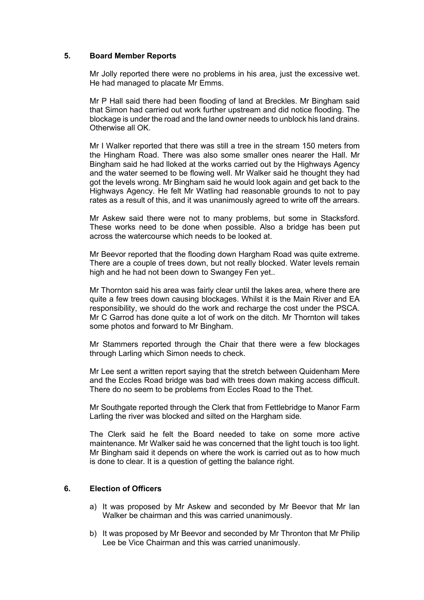### **5. Board Member Reports**

Mr Jolly reported there were no problems in his area, just the excessive wet. He had managed to placate Mr Emms.

Mr P Hall said there had been flooding of land at Breckles. Mr Bingham said that Simon had carried out work further upstream and did notice flooding. The blockage is under the road and the land owner needs to unblock his land drains. Otherwise all OK.

Mr I Walker reported that there was still a tree in the stream 150 meters from the Hingham Road. There was also some smaller ones nearer the Hall. Mr Bingham said he had lloked at the works carried out by the Highways Agency and the water seemed to be flowing well. Mr Walker said he thought they had got the levels wrong. Mr Bingham said he would look again and get back to the Highways Agency. He felt Mr Watling had reasonable grounds to not to pay rates as a result of this, and it was unanimously agreed to write off the arrears.

Mr Askew said there were not to many problems, but some in Stacksford. These works need to be done when possible. Also a bridge has been put across the watercourse which needs to be looked at.

Mr Beevor reported that the flooding down Hargham Road was quite extreme. There are a couple of trees down, but not really blocked. Water levels remain high and he had not been down to Swangey Fen yet..

Mr Thornton said his area was fairly clear until the lakes area, where there are quite a few trees down causing blockages. Whilst it is the Main River and EA responsibility, we should do the work and recharge the cost under the PSCA. Mr C Garrod has done quite a lot of work on the ditch. Mr Thornton will takes some photos and forward to Mr Bingham.

Mr Stammers reported through the Chair that there were a few blockages through Larling which Simon needs to check.

Mr Lee sent a written report saying that the stretch between Quidenham Mere and the Eccles Road bridge was bad with trees down making access difficult. There do no seem to be problems from Eccles Road to the Thet.

Mr Southgate reported through the Clerk that from Fettlebridge to Manor Farm Larling the river was blocked and silted on the Hargham side.

The Clerk said he felt the Board needed to take on some more active maintenance. Mr Walker said he was concerned that the light touch is too light. Mr Bingham said it depends on where the work is carried out as to how much is done to clear. It is a question of getting the balance right.

### **6. Election of Officers**

- a) It was proposed by Mr Askew and seconded by Mr Beevor that Mr Ian Walker be chairman and this was carried unanimously.
- b) It was proposed by Mr Beevor and seconded by Mr Thronton that Mr Philip Lee be Vice Chairman and this was carried unanimously.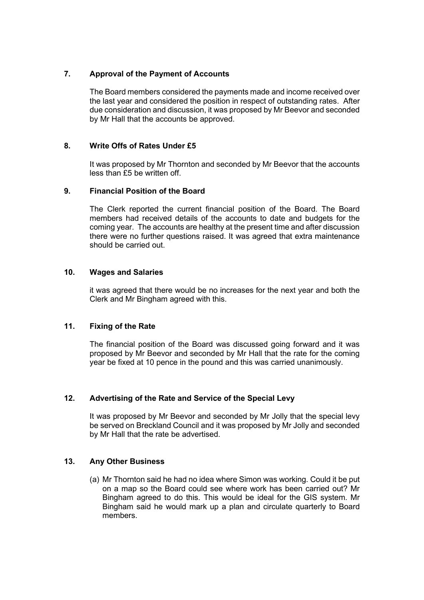# **7. Approval of the Payment of Accounts**

The Board members considered the payments made and income received over the last year and considered the position in respect of outstanding rates. After due consideration and discussion, it was proposed by Mr Beevor and seconded by Mr Hall that the accounts be approved.

## **8. Write Offs of Rates Under £5**

It was proposed by Mr Thornton and seconded by Mr Beevor that the accounts less than £5 be written off.

## **9. Financial Position of the Board**

The Clerk reported the current financial position of the Board. The Board members had received details of the accounts to date and budgets for the coming year. The accounts are healthy at the present time and after discussion there were no further questions raised. It was agreed that extra maintenance should be carried out.

## **10. Wages and Salaries**

it was agreed that there would be no increases for the next year and both the Clerk and Mr Bingham agreed with this.

## **11. Fixing of the Rate**

The financial position of the Board was discussed going forward and it was proposed by Mr Beevor and seconded by Mr Hall that the rate for the coming year be fixed at 10 pence in the pound and this was carried unanimously.

## **12. Advertising of the Rate and Service of the Special Levy**

It was proposed by Mr Beevor and seconded by Mr Jolly that the special levy be served on Breckland Council and it was proposed by Mr Jolly and seconded by Mr Hall that the rate be advertised.

## **13. Any Other Business**

(a) Mr Thornton said he had no idea where Simon was working. Could it be put on a map so the Board could see where work has been carried out? Mr Bingham agreed to do this. This would be ideal for the GIS system. Mr Bingham said he would mark up a plan and circulate quarterly to Board members.